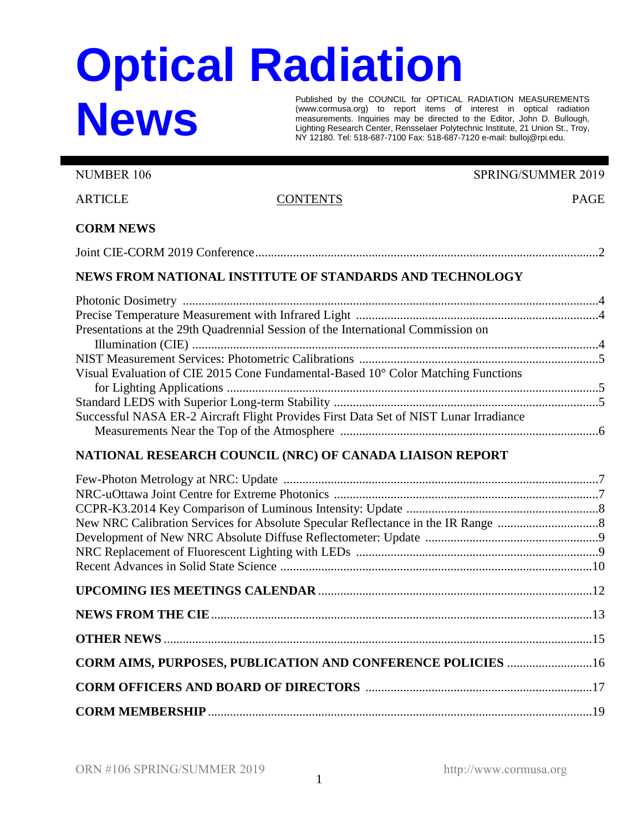## **Optical Radiation News**

Published by the COUNCIL for OPTICAL RADIATION MEASUREMENTS (www.cormusa.org) to report items of interest in optical radiation measurements. Inquiries may be directed to the Editor, John D. Bullough, Lighting Research Center, Rensselaer Polytechnic Institute, 21 Union St., Troy, NY 12180. Tel: 518-687-7100 Fax: 518-687-7120 e-mail: bulloj@rpi.edu.

NUMBER 106 SPRING/SUMMER 2019

ARTICLE CONTENTS CONTENTS

## **CORM NEWS**

## **NEWS FROM NATIONAL INSTITUTE OF STANDARDS AND TECHNOLOGY**

| Presentations at the 29th Quadrennial Session of the International Commission on      |  |
|---------------------------------------------------------------------------------------|--|
|                                                                                       |  |
|                                                                                       |  |
| Visual Evaluation of CIE 2015 Cone Fundamental-Based 10° Color Matching Functions     |  |
|                                                                                       |  |
|                                                                                       |  |
| Successful NASA ER-2 Aircraft Flight Provides First Data Set of NIST Lunar Irradiance |  |
|                                                                                       |  |

## **NATIONAL RESEARCH COUNCIL (NRC) OF CANADA LIAISON REPORT**

| CORM AIMS, PURPOSES, PUBLICATION AND CONFERENCE POLICIES  16 |  |
|--------------------------------------------------------------|--|
|                                                              |  |
|                                                              |  |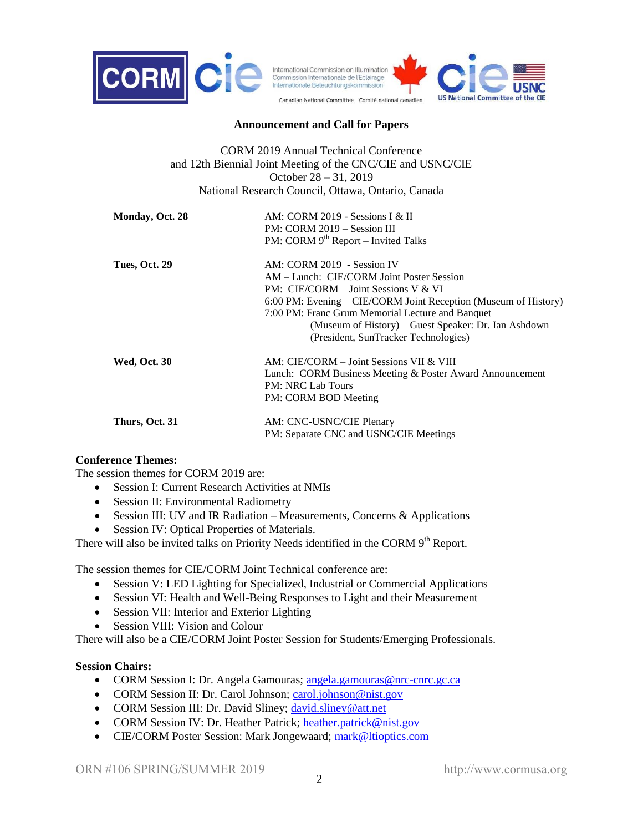

#### **Announcement and Call for Papers**

CORM 2019 Annual Technical Conference and 12th Biennial Joint Meeting of the CNC/CIE and USNC/CIE October 28 – 31, 2019 National Research Council, Ottawa, Ontario, Canada

| Monday, Oct. 28     | AM: CORM 2019 - Sessions I & II<br>PM: CORM 2019 – Session III<br>PM: CORM $9th$ Report – Invited Talks                                                                                                                                                                                                                                  |
|---------------------|------------------------------------------------------------------------------------------------------------------------------------------------------------------------------------------------------------------------------------------------------------------------------------------------------------------------------------------|
| Tues, Oct. 29       | AM: CORM 2019 - Session IV<br>AM – Lunch: CIE/CORM Joint Poster Session<br>$PM: CIE/CORM - Joint Sessions V & VI$<br>6:00 PM: Evening – CIE/CORM Joint Reception (Museum of History)<br>7:00 PM: Franc Grum Memorial Lecture and Banquet<br>(Museum of History) – Guest Speaker: Dr. Ian Ashdown<br>(President, SunTracker Technologies) |
| <b>Wed, Oct. 30</b> | AM: CIE/CORM – Joint Sessions VII & VIII<br>Lunch: CORM Business Meeting & Poster Award Announcement<br><b>PM: NRC Lab Tours</b><br>PM: CORM BOD Meeting                                                                                                                                                                                 |
| Thurs, Oct. 31      | AM: CNC-USNC/CIE Plenary<br>PM: Separate CNC and USNC/CIE Meetings                                                                                                                                                                                                                                                                       |

#### **Conference Themes:**

The session themes for CORM 2019 are:

- Session I: Current Research Activities at NMIs
- Session II: Environmental Radiometry
- Session III: UV and IR Radiation Measurements, Concerns & Applications
- Session IV: Optical Properties of Materials.

There will also be invited talks on Priority Needs identified in the CORM 9<sup>th</sup> Report.

The session themes for CIE/CORM Joint Technical conference are:

- Session V: LED Lighting for Specialized, Industrial or Commercial Applications
- Session VI: Health and Well-Being Responses to Light and their Measurement
- Session VII: Interior and Exterior Lighting
- Session VIII: Vision and Colour

There will also be a CIE/CORM Joint Poster Session for Students/Emerging Professionals.

#### **Session Chairs:**

- CORM Session I: Dr. Angela Gamouras; [angela.gamouras@nrc-cnrc.gc.ca](mailto:angela.gamouras@nrc-cnrc.gc.ca)
- CORM Session II: Dr. Carol Johnson; [carol.johnson@nist.gov](mailto:carol.johnson@nist.gov)
- CORM Session III: Dr. David Sliney; [david.sliney@att.net](mailto:david.sliney@att.net)
- CORM Session IV: Dr. Heather Patrick; [heather.patrick@nist.gov](mailto:heather.patrick@nist.gov)
- CIE/CORM Poster Session: Mark Jongewaard; [mark@ltioptics.com](mailto:mark@ltioptics.com)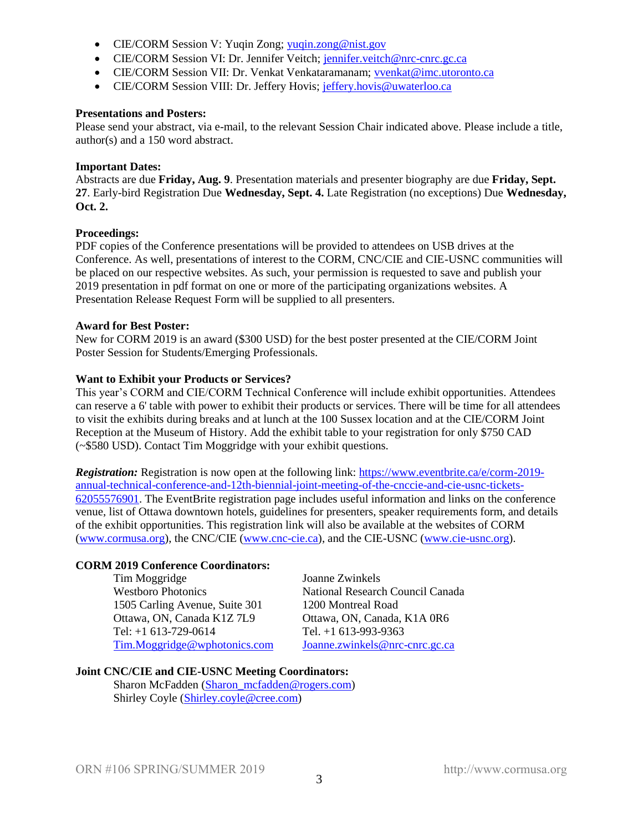- CIE/CORM Session V: Yuqin Zong; [yuqin.zong@nist.gov](mailto:yuqin.zong@nist.gov)
- CIE/CORM Session VI: Dr. Jennifer Veitch; [jennifer.veitch@nrc-cnrc.gc.ca](mailto:jennifer.veitch@nrc-cnrc.gc.ca)
- CIE/CORM Session VII: Dr. Venkat Venkataramanam; [vvenkat@imc.utoronto.ca](mailto:vvenkat@imc.utoronto.ca)
- CIE/CORM Session VIII: Dr. Jeffery Hovis; [jeffery.hovis@uwaterloo.ca](mailto:jeffery.hovis@uwaterloo.ca)

#### **Presentations and Posters:**

Please send your abstract, via e-mail, to the relevant Session Chair indicated above. Please include a title, author(s) and a 150 word abstract.

#### **Important Dates:**

Abstracts are due **Friday, Aug. 9**. Presentation materials and presenter biography are due **Friday, Sept. 27**. Early-bird Registration Due **Wednesday, Sept. 4.** Late Registration (no exceptions) Due **Wednesday, Oct. 2.**

#### **Proceedings:**

PDF copies of the Conference presentations will be provided to attendees on USB drives at the Conference. As well, presentations of interest to the CORM, CNC/CIE and CIE-USNC communities will be placed on our respective websites. As such, your permission is requested to save and publish your 2019 presentation in pdf format on one or more of the participating organizations websites. A Presentation Release Request Form will be supplied to all presenters.

#### **Award for Best Poster:**

New for CORM 2019 is an award (\$300 USD) for the best poster presented at the CIE/CORM Joint Poster Session for Students/Emerging Professionals.

#### **Want to Exhibit your Products or Services?**

This year's CORM and CIE/CORM Technical Conference will include exhibit opportunities. Attendees can reserve a 6' table with power to exhibit their products or services. There will be time for all attendees to visit the exhibits during breaks and at lunch at the 100 Sussex location and at the CIE/CORM Joint Reception at the Museum of History. Add the exhibit table to your registration for only \$750 CAD (~\$580 USD). Contact Tim Moggridge with your exhibit questions.

*Registration:* Registration is now open at the following link: [https://www.eventbrite.ca/e/corm-2019](https://www.eventbrite.ca/e/corm-2019-annual-technical-conference-and-12th-biennial-joint-meeting-of-the-cnccie-and-cie-usnc-tickets-62055576901) [annual-technical-conference-and-12th-biennial-joint-meeting-of-the-cnccie-and-cie-usnc-tickets-](https://www.eventbrite.ca/e/corm-2019-annual-technical-conference-and-12th-biennial-joint-meeting-of-the-cnccie-and-cie-usnc-tickets-62055576901)[62055576901.](https://www.eventbrite.ca/e/corm-2019-annual-technical-conference-and-12th-biennial-joint-meeting-of-the-cnccie-and-cie-usnc-tickets-62055576901) The EventBrite registration page includes useful information and links on the conference venue, list of Ottawa downtown hotels, guidelines for presenters, speaker requirements form, and details of the exhibit opportunities. This registration link will also be available at the websites of CORM [\(www.cormusa.org\)](http://www.cormusa.org/), the CNC/CIE [\(www.cnc-cie.ca\)](http://www.cnc-cie.ca/), and the CIE-USNC [\(www.cie-usnc.org\)](http://www.cie-usnc.org/).

#### **CORM 2019 Conference Coordinators:**

Tim Moggridge Joanne Zwinkels 1505 Carling Avenue, Suite 301 1200 Montreal Road Ottawa, ON, Canada K1Z 7L9 Ottawa, ON, Canada, K1A 0R6 Tel: +1 613-729-0614 Tel. +1 613-993-9363 [Tim.Moggridge@wphotonics.com](mailto:Tim.Moggridge@wphotonics.com) [Joanne.zwinkels@nrc-cnrc.gc.ca](mailto:Joanne.zwinkels@nrc-cnrc.gc.ca)

Westboro Photonics National Research Council Canada

## **Joint CNC/CIE and CIE-USNC Meeting Coordinators:**

Sharon McFadden [\(Sharon\\_mcfadden@rogers.com\)](mailto:Sharon_mcfadden@rogers.com) Shirley Coyle [\(Shirley.coyle@cree.com\)](mailto:Shirley.coyle@cree.com)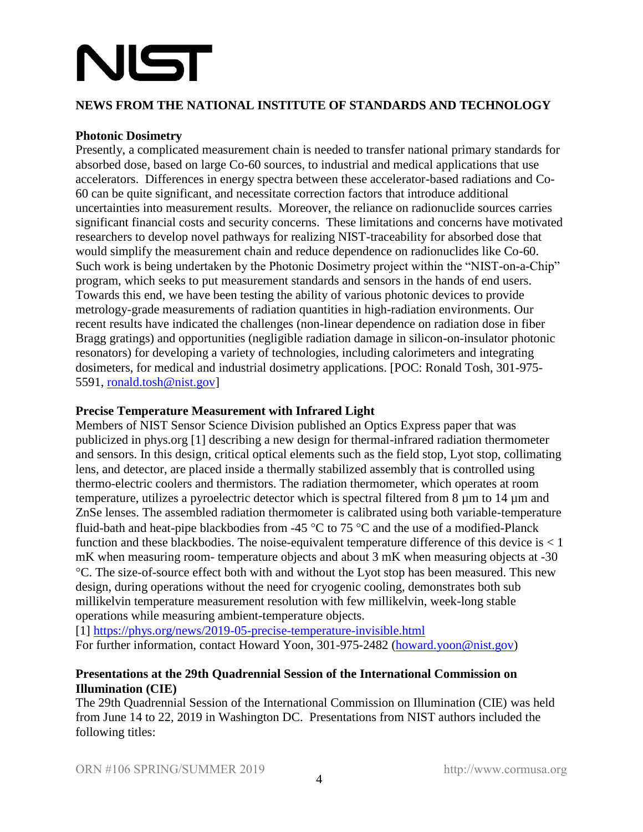# NIST

## **NEWS FROM THE NATIONAL INSTITUTE OF STANDARDS AND TECHNOLOGY**

## **Photonic Dosimetry**

Presently, a complicated measurement chain is needed to transfer national primary standards for absorbed dose, based on large Co-60 sources, to industrial and medical applications that use accelerators. Differences in energy spectra between these accelerator-based radiations and Co-60 can be quite significant, and necessitate correction factors that introduce additional uncertainties into measurement results. Moreover, the reliance on radionuclide sources carries significant financial costs and security concerns. These limitations and concerns have motivated researchers to develop novel pathways for realizing NIST-traceability for absorbed dose that would simplify the measurement chain and reduce dependence on radionuclides like Co-60. Such work is being undertaken by the Photonic Dosimetry project within the "NIST-on-a-Chip" program, which seeks to put measurement standards and sensors in the hands of end users. Towards this end, we have been testing the ability of various photonic devices to provide metrology-grade measurements of radiation quantities in high-radiation environments. Our recent results have indicated the challenges (non-linear dependence on radiation dose in fiber Bragg gratings) and opportunities (negligible radiation damage in silicon-on-insulator photonic resonators) for developing a variety of technologies, including calorimeters and integrating dosimeters, for medical and industrial dosimetry applications. [POC: Ronald Tosh, 301-975- 5591, [ronald.tosh@nist.gov\]](mailto:ronald.tosh@nist.gov)

## **Precise Temperature Measurement with Infrared Light**

Members of NIST Sensor Science Division published an Optics Express paper that was publicized in phys.org [1] describing a new design for thermal-infrared radiation thermometer and sensors. In this design, critical optical elements such as the field stop, Lyot stop, collimating lens, and detector, are placed inside a thermally stabilized assembly that is controlled using thermo-electric coolers and thermistors. The radiation thermometer, which operates at room temperature, utilizes a pyroelectric detector which is spectral filtered from 8 µm to 14 µm and ZnSe lenses. The assembled radiation thermometer is calibrated using both variable-temperature fluid-bath and heat-pipe blackbodies from -45  $\degree$ C to 75  $\degree$ C and the use of a modified-Planck function and these blackbodies. The noise-equivalent temperature difference of this device is  $< 1$ mK when measuring room- temperature objects and about 3 mK when measuring objects at -30 C. The size-of-source effect both with and without the Lyot stop has been measured. This new design, during operations without the need for cryogenic cooling, demonstrates both sub millikelvin temperature measurement resolution with few millikelvin, week-long stable operations while measuring ambient-temperature objects.

[1]<https://phys.org/news/2019-05-precise-temperature-invisible.html> For further information, contact Howard Yoon, 301-975-2482 [\(howard.yoon@nist.gov\)](mailto:howard.yoon@nist.gov)

## **Presentations at the 29th Quadrennial Session of the International Commission on Illumination (CIE)**

The 29th Quadrennial Session of the International Commission on Illumination (CIE) was held from June 14 to 22, 2019 in Washington DC. Presentations from NIST authors included the following titles: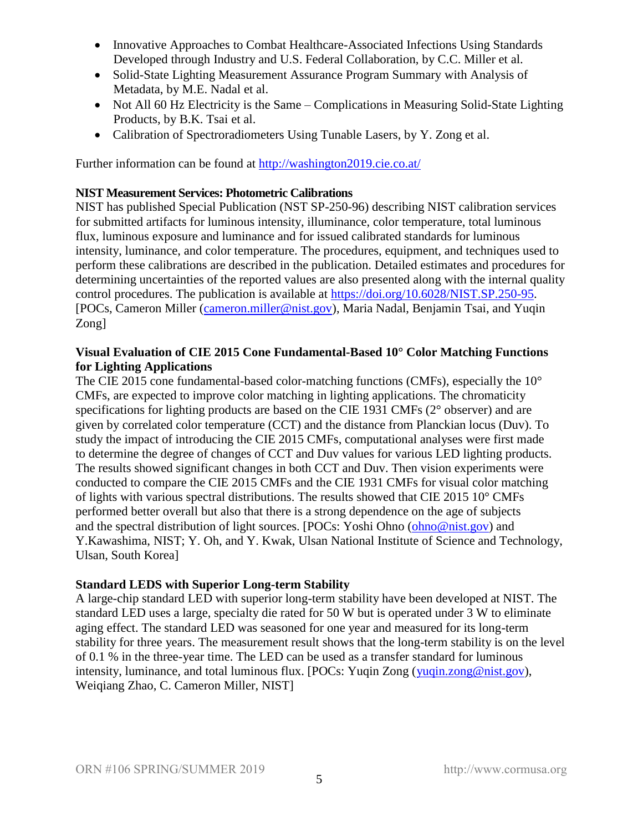- Innovative Approaches to Combat Healthcare-Associated Infections Using Standards Developed through Industry and U.S. Federal Collaboration, by C.C. Miller et al.
- Solid-State Lighting Measurement Assurance Program Summary with Analysis of Metadata, by M.E. Nadal et al.
- Not All 60 Hz Electricity is the Same Complications in Measuring Solid-State Lighting Products, by B.K. Tsai et al.
- Calibration of Spectroradiometers Using Tunable Lasers, by Y. Zong et al.

Further information can be found at<http://washington2019.cie.co.at/>

## **NIST Measurement Services: Photometric Calibrations**

NIST has published Special Publication (NST SP-250-96) describing NIST calibration services for submitted artifacts for luminous intensity, illuminance, color temperature, total luminous flux, luminous exposure and luminance and for issued calibrated standards for luminous intensity, luminance, and color temperature. The procedures, equipment, and techniques used to perform these calibrations are described in the publication. Detailed estimates and procedures for determining uncertainties of the reported values are also presented along with the internal quality control procedures. The publication is available at [https://doi.org/10.6028/NIST.SP.250-95.](https://doi.org/10.6028/NIST.SP.250-95) [POCs, Cameron Miller [\(cameron.miller@nist.gov\)](mailto:cameron.miller@nist.gov), Maria Nadal, Benjamin Tsai, and Yuqin Zong]

## **Visual Evaluation of CIE 2015 Cone Fundamental-Based 10° Color Matching Functions for Lighting Applications**

The CIE 2015 cone fundamental-based color-matching functions (CMFs), especially the 10° CMFs, are expected to improve color matching in lighting applications. The chromaticity specifications for lighting products are based on the CIE 1931 CMFs (2° observer) and are given by correlated color temperature (CCT) and the distance from Planckian locus (Duv). To study the impact of introducing the CIE 2015 CMFs, computational analyses were first made to determine the degree of changes of CCT and Duv values for various LED lighting products. The results showed significant changes in both CCT and Duv. Then vision experiments were conducted to compare the CIE 2015 CMFs and the CIE 1931 CMFs for visual color matching of lights with various spectral distributions. The results showed that CIE 2015 10° CMFs performed better overall but also that there is a strong dependence on the age of subjects and the spectral distribution of light sources. [POCs: Yoshi Ohno [\(ohno@nist.gov\)](mailto:ohno@nist.gov) and Y.Kawashima, NIST; Y. Oh, and Y. Kwak, Ulsan National Institute of Science and Technology, Ulsan, South Korea]

## **Standard LEDS with Superior Long-term Stability**

A large-chip standard LED with superior long-term stability have been developed at NIST. The standard LED uses a large, specialty die rated for 50 W but is operated under 3 W to eliminate aging effect. The standard LED was seasoned for one year and measured for its long-term stability for three years. The measurement result shows that the long-term stability is on the level of 0.1 % in the three-year time. The LED can be used as a transfer standard for luminous intensity, luminance, and total luminous flux. [POCs: Yuqin Zong [\(yuqin.zong@nist.gov\)](mailto:yuqin.zong@nist.gov), Weiqiang Zhao, C. Cameron Miller, NIST]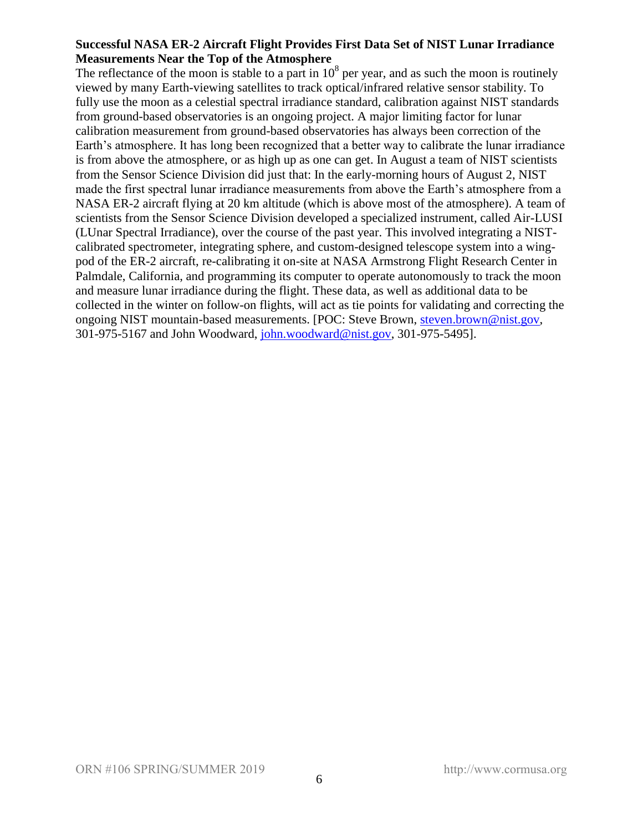## **Successful NASA ER-2 Aircraft Flight Provides First Data Set of NIST Lunar Irradiance Measurements Near the Top of the Atmosphere**

The reflectance of the moon is stable to a part in  $10<sup>8</sup>$  per year, and as such the moon is routinely viewed by many Earth-viewing satellites to track optical/infrared relative sensor stability. To fully use the moon as a celestial spectral irradiance standard, calibration against NIST standards from ground-based observatories is an ongoing project. A major limiting factor for lunar calibration measurement from ground-based observatories has always been correction of the Earth's atmosphere. It has long been recognized that a better way to calibrate the lunar irradiance is from above the atmosphere, or as high up as one can get. In August a team of NIST scientists from the Sensor Science Division did just that: In the early-morning hours of August 2, NIST made the first spectral lunar irradiance measurements from above the Earth's atmosphere from a NASA ER-2 aircraft flying at 20 km altitude (which is above most of the atmosphere). A team of scientists from the Sensor Science Division developed a specialized instrument, called Air-LUSI (LUnar Spectral Irradiance), over the course of the past year. This involved integrating a NISTcalibrated spectrometer, integrating sphere, and custom-designed telescope system into a wingpod of the ER-2 aircraft, re-calibrating it on-site at NASA Armstrong Flight Research Center in Palmdale, California, and programming its computer to operate autonomously to track the moon and measure lunar irradiance during the flight. These data, as well as additional data to be collected in the winter on follow-on flights, will act as tie points for validating and correcting the ongoing NIST mountain-based measurements. [POC: Steve Brown, [steven.brown@nist.gov,](mailto:steven.brown@nist.gov) 301-975-5167 and John Woodward, [john.woodward@nist.gov,](mailto:john.woodward@nist.gov) 301-975-5495].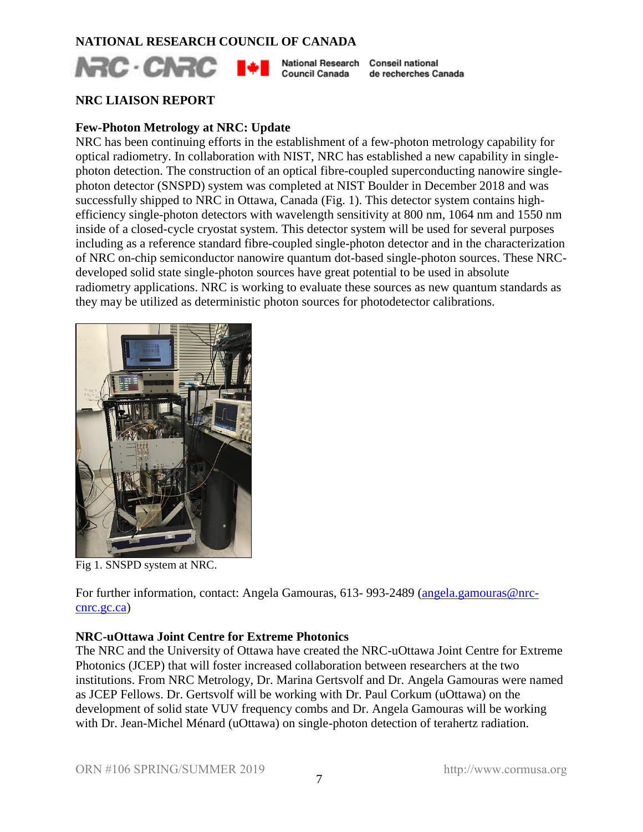## **NATIONAL RESEARCH COUNCIL OF CANADA**



Council Canada de recherches Canada

## **NRC LIAISON REPORT**

## **Few-Photon Metrology at NRC: Update**

NRC has been continuing efforts in the establishment of a few-photon metrology capability for optical radiometry. In collaboration with NIST, NRC has established a new capability in singlephoton detection. The construction of an optical fibre-coupled superconducting nanowire singlephoton detector (SNSPD) system was completed at NIST Boulder in December 2018 and was successfully shipped to NRC in Ottawa, Canada (Fig. 1). This detector system contains highefficiency single-photon detectors with wavelength sensitivity at 800 nm, 1064 nm and 1550 nm inside of a closed-cycle cryostat system. This detector system will be used for several purposes including as a reference standard fibre-coupled single-photon detector and in the characterization of NRC on-chip semiconductor nanowire quantum dot-based single-photon sources. These NRCdeveloped solid state single-photon sources have great potential to be used in absolute radiometry applications. NRC is working to evaluate these sources as new quantum standards as they may be utilized as deterministic photon sources for photodetector calibrations.



Fig 1. SNSPD system at NRC.

For further information, contact: Angela Gamouras, 613- 993-2489 [\(angela.gamouras@nrc](mailto:angela.gamouras@nrc-cnrc.gc.ca)[cnrc.gc.ca\)](mailto:angela.gamouras@nrc-cnrc.gc.ca)

## **NRC-uOttawa Joint Centre for Extreme Photonics**

The NRC and the University of Ottawa have created the NRC-uOttawa Joint Centre for Extreme Photonics (JCEP) that will foster increased collaboration between researchers at the two institutions. From NRC Metrology, Dr. Marina Gertsvolf and Dr. Angela Gamouras were named as JCEP Fellows. Dr. Gertsvolf will be working with Dr. Paul Corkum (uOttawa) on the development of solid state VUV frequency combs and Dr. Angela Gamouras will be working with Dr. Jean-Michel Ménard (uOttawa) on single-photon detection of terahertz radiation.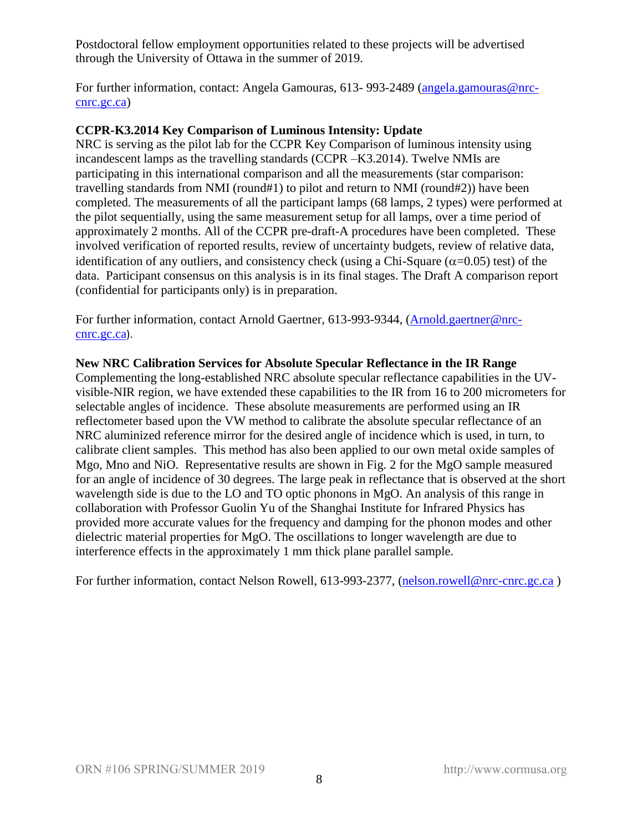Postdoctoral fellow employment opportunities related to these projects will be advertised through the University of Ottawa in the summer of 2019.

For further information, contact: Angela Gamouras, 613-993-2489 [\(angela.gamouras@nrc](mailto:angela.gamouras@nrc-cnrc.gc.ca)[cnrc.gc.ca\)](mailto:angela.gamouras@nrc-cnrc.gc.ca)

## **CCPR-K3.2014 Key Comparison of Luminous Intensity: Update**

NRC is serving as the pilot lab for the CCPR Key Comparison of luminous intensity using incandescent lamps as the travelling standards (CCPR –K3.2014). Twelve NMIs are participating in this international comparison and all the measurements (star comparison: travelling standards from NMI (round#1) to pilot and return to NMI (round#2)) have been completed. The measurements of all the participant lamps (68 lamps, 2 types) were performed at the pilot sequentially, using the same measurement setup for all lamps, over a time period of approximately 2 months. All of the CCPR pre-draft-A procedures have been completed. These involved verification of reported results, review of uncertainty budgets, review of relative data, identification of any outliers, and consistency check (using a Chi-Square  $(\alpha=0.05)$  test) of the data. Participant consensus on this analysis is in its final stages. The Draft A comparison report (confidential for participants only) is in preparation.

For further information, contact Arnold Gaertner, 613-993-9344, [\(Arnold.gaertner@nrc](mailto:Arnold.gaertner@nrc-cnrc.gc.ca)[cnrc.gc.ca](mailto:Arnold.gaertner@nrc-cnrc.gc.ca)).

## **New NRC Calibration Services for Absolute Specular Reflectance in the IR Range**

Complementing the long-established NRC absolute specular reflectance capabilities in the UVvisible-NIR region, we have extended these capabilities to the IR from 16 to 200 micrometers for selectable angles of incidence. These absolute measurements are performed using an IR reflectometer based upon the VW method to calibrate the absolute specular reflectance of an NRC aluminized reference mirror for the desired angle of incidence which is used, in turn, to calibrate client samples. This method has also been applied to our own metal oxide samples of Mgo, Mno and NiO. Representative results are shown in Fig. 2 for the MgO sample measured for an angle of incidence of 30 degrees. The large peak in reflectance that is observed at the short wavelength side is due to the LO and TO optic phonons in MgO. An analysis of this range in collaboration with Professor Guolin Yu of the Shanghai Institute for Infrared Physics has provided more accurate values for the frequency and damping for the phonon modes and other dielectric material properties for MgO. The oscillations to longer wavelength are due to interference effects in the approximately 1 mm thick plane parallel sample.

For further information, contact Nelson Rowell, 613-993-2377, [\(nelson.rowell@nrc-cnrc.gc.ca](mailto:nelson.rowell@nrc-cnrc.gc.ca))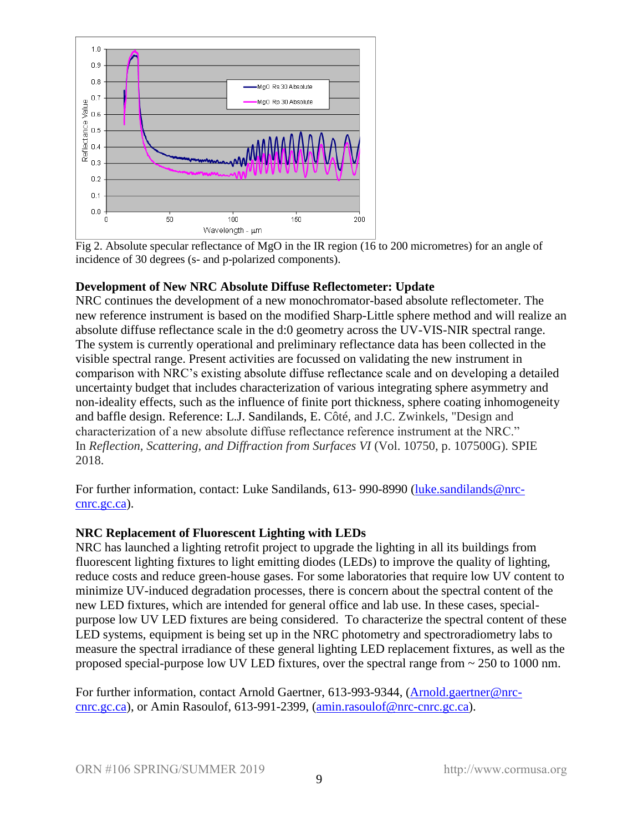

Fig 2. Absolute specular reflectance of MgO in the IR region (16 to 200 micrometres) for an angle of incidence of 30 degrees (s- and p-polarized components).

## **Development of New NRC Absolute Diffuse Reflectometer: Update**

NRC continues the development of a new monochromator-based absolute reflectometer. The new reference instrument is based on the modified Sharp-Little sphere method and will realize an absolute diffuse reflectance scale in the d:0 geometry across the UV-VIS-NIR spectral range. The system is currently operational and preliminary reflectance data has been collected in the visible spectral range. Present activities are focussed on validating the new instrument in comparison with NRC's existing absolute diffuse reflectance scale and on developing a detailed uncertainty budget that includes characterization of various integrating sphere asymmetry and non-ideality effects, such as the influence of finite port thickness, sphere coating inhomogeneity and baffle design. Reference: L.J. Sandilands, E. Côté, and J.C. Zwinkels, "Design and characterization of a new absolute diffuse reflectance reference instrument at the NRC." In *Reflection, Scattering, and Diffraction from Surfaces VI* (Vol. 10750, p. 107500G). SPIE 2018.

For further information, contact: Luke Sandilands, 613- 990-8990 [\(luke.sandilands@nrc](mailto:luke.sandilands@nrc-cnrc.gc.ca)[cnrc.gc.ca\)](mailto:luke.sandilands@nrc-cnrc.gc.ca).

## **NRC Replacement of Fluorescent Lighting with LEDs**

NRC has launched a lighting retrofit project to upgrade the lighting in all its buildings from fluorescent lighting fixtures to light emitting diodes (LEDs) to improve the quality of lighting, reduce costs and reduce green-house gases. For some laboratories that require low UV content to minimize UV-induced degradation processes, there is concern about the spectral content of the new LED fixtures, which are intended for general office and lab use. In these cases, specialpurpose low UV LED fixtures are being considered. To characterize the spectral content of these LED systems, equipment is being set up in the NRC photometry and spectroradiometry labs to measure the spectral irradiance of these general lighting LED replacement fixtures, as well as the proposed special-purpose low UV LED fixtures, over the spectral range from ~ 250 to 1000 nm.

For further information, contact Arnold Gaertner, 613-993-9344, [\(Arnold.gaertner@nrc](mailto:Arnold.gaertner@nrc-cnrc.gc.ca)[cnrc.gc.ca\)](mailto:Arnold.gaertner@nrc-cnrc.gc.ca), or Amin Rasoulof, 613-991-2399, [\(amin.rasoulof@nrc-cnrc.gc.ca\)](mailto:amin.rasoulof@nrc-cnrc.gc.ca).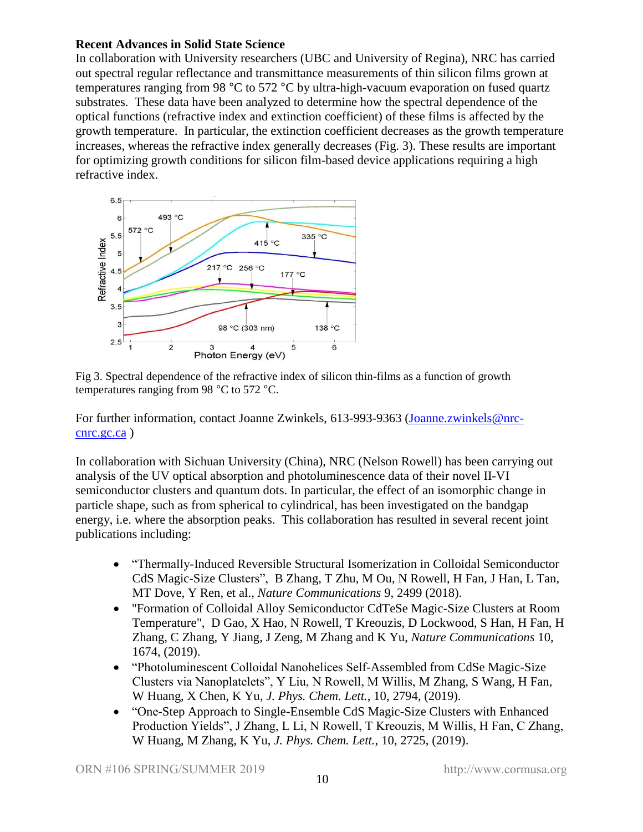## **Recent Advances in Solid State Science**

In collaboration with University researchers (UBC and University of Regina), NRC has carried out spectral regular reflectance and transmittance measurements of thin silicon films grown at temperatures ranging from 98 °C to 572 °C by ultra-high-vacuum evaporation on fused quartz substrates. These data have been analyzed to determine how the spectral dependence of the optical functions (refractive index and extinction coefficient) of these films is affected by the growth temperature. In particular, the extinction coefficient decreases as the growth temperature increases, whereas the refractive index generally decreases (Fig. 3). These results are important for optimizing growth conditions for silicon film-based device applications requiring a high refractive index.



Fig 3. Spectral dependence of the refractive index of silicon thin-films as a function of growth temperatures ranging from 98 °C to 572 °C.

For further information, contact Joanne Zwinkels, 613-993-9363 [\(Joanne.zwinkels@nrc](mailto:Joanne.zwinkels@nrc-cnrc.gc.ca)[cnrc.gc.ca](mailto:Joanne.zwinkels@nrc-cnrc.gc.ca) )

In collaboration with Sichuan University (China), NRC (Nelson Rowell) has been carrying out analysis of the UV optical absorption and photoluminescence data of their novel II-VI semiconductor clusters and quantum dots. In particular, the effect of an isomorphic change in particle shape, such as from spherical to cylindrical, has been investigated on the bandgap energy, i.e. where the absorption peaks. This collaboration has resulted in several recent joint publications including:

- "Thermally-Induced Reversible Structural Isomerization in Colloidal Semiconductor CdS Magic-Size Clusters", B Zhang, T Zhu, M Ou, N Rowell, H Fan, J Han, L Tan, MT Dove, Y Ren, et al., *Nature Communications* 9, 2499 (2018).
- "Formation of Colloidal Alloy Semiconductor CdTeSe Magic-Size Clusters at Room Temperature", D Gao, X Hao, N Rowell, T Kreouzis, D Lockwood, S Han, H Fan, H Zhang, C Zhang, Y Jiang, J Zeng, M Zhang and K Yu, *Nature Communications* 10, 1674, (2019).
- "Photoluminescent Colloidal Nanohelices Self-Assembled from CdSe Magic-Size Clusters via Nanoplatelets", Y Liu, N Rowell, M Willis, M Zhang, S Wang, H Fan, W Huang, X Chen, K Yu, *J. Phys. Chem. Lett.*, 10, 2794, (2019).
- "One-Step Approach to Single-Ensemble CdS Magic-Size Clusters with Enhanced Production Yields", J Zhang, L Li, N Rowell, T Kreouzis, M Willis, H Fan, C Zhang, W Huang, M Zhang, K Yu, *J. Phys. Chem. Lett.*, 10, 2725, (2019).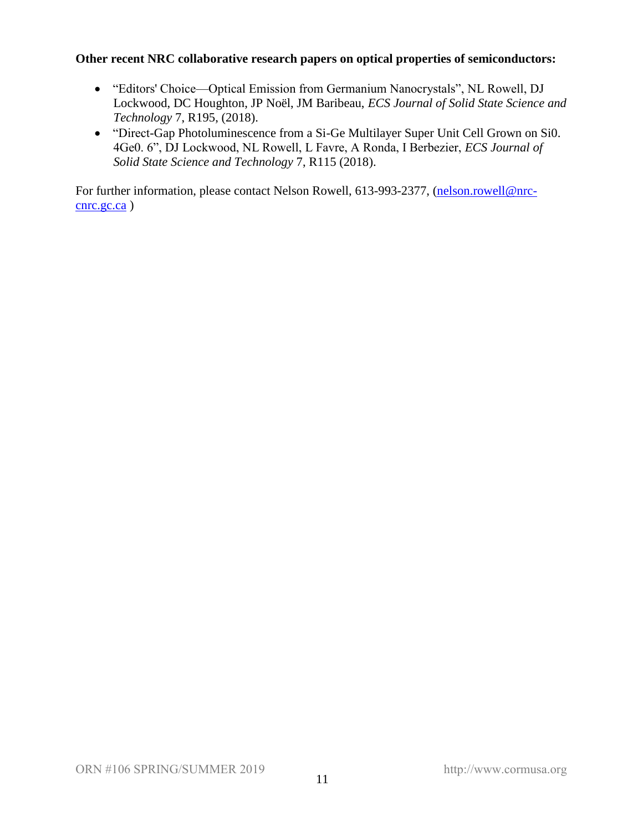## **Other recent NRC collaborative research papers on optical properties of semiconductors:**

- "Editors' Choice—Optical Emission from Germanium Nanocrystals", NL Rowell, DJ Lockwood, DC Houghton, JP Noël, JM Baribeau, *ECS Journal of Solid State Science and Technology* 7, R195, (2018).
- "Direct-Gap Photoluminescence from a Si-Ge Multilayer Super Unit Cell Grown on Si0. 4Ge0. 6", DJ Lockwood, NL Rowell, L Favre, A Ronda, I Berbezier, *ECS Journal of Solid State Science and Technology* 7, R115 (2018).

For further information, please contact Nelson Rowell, 613-993-2377, [\(nelson.rowell@nrc](mailto:nelson.rowell@nrc-cnrc.gc.ca)[cnrc.gc.ca](mailto:nelson.rowell@nrc-cnrc.gc.ca) )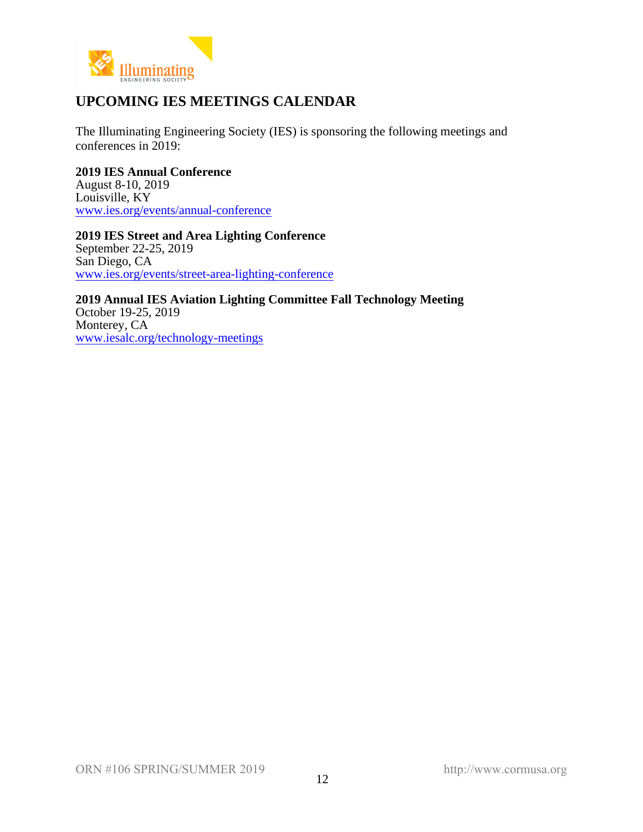

## **UPCOMING IES MEETINGS CALENDAR**

The Illuminating Engineering Society (IES) is sponsoring the following meetings and conferences in 2019:

**2019 IES Annual Conference** August 8-10, 2019 Louisville, KY [www.ies.org/events/annual-conference](http://www.ies.org/events/annual-conference)

**2019 IES Street and Area Lighting Conference** September 22-25, 2019 San Diego, CA [www.ies.org/events/street-area-lighting-conference](http://www.ies.org/events/street-area-lighting-conference)

**2019 Annual IES Aviation Lighting Committee Fall Technology Meeting** October 19-25, 2019 Monterey, CA [www.iesalc.org/technology-meetings](http://www.iesalc.org/technology-meetings)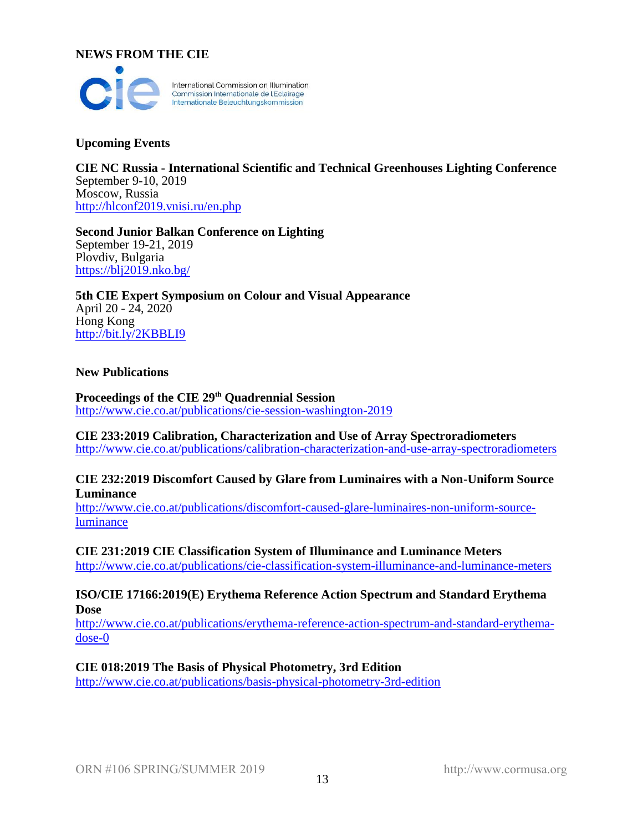#### **NEWS FROM THE CIE**



## **Upcoming Events**

**CIE NC Russia - International Scientific and Technical Greenhouses Lighting Conference** September 9-10, 2019 Moscow, Russia <http://hlconf2019.vnisi.ru/en.php>

**Second Junior Balkan Conference on Lighting** September 19-21, 2019 Plovdiv, Bulgaria <https://blj2019.nko.bg/>

**5th CIE Expert Symposium on Colour and Visual Appearance** April 20 - 24, 2020 Hong Kong <http://bit.ly/2KBBLI9>

#### **New Publications**

**Proceedings of the CIE 29th Quadrennial Session** <http://www.cie.co.at/publications/cie-session-washington-2019>

**CIE 233:2019 Calibration, Characterization and Use of Array Spectroradiometers** <http://www.cie.co.at/publications/calibration-characterization-and-use-array-spectroradiometers>

#### **CIE 232:2019 Discomfort Caused by Glare from Luminaires with a Non-Uniform Source Luminance**

[http://www.cie.co.at/publications/discomfort-caused-glare-luminaires-non-uniform-source](http://www.cie.co.at/publications/discomfort-caused-glare-luminaires-non-uniform-source-luminance)[luminance](http://www.cie.co.at/publications/discomfort-caused-glare-luminaires-non-uniform-source-luminance)

**CIE 231:2019 CIE Classification System of Illuminance and Luminance Meters**  <http://www.cie.co.at/publications/cie-classification-system-illuminance-and-luminance-meters>

## **ISO/CIE 17166:2019(E) Erythema Reference Action Spectrum and Standard Erythema Dose**

[http://www.cie.co.at/publications/erythema-reference-action-spectrum-and-standard-erythema](http://www.cie.co.at/publications/erythema-reference-action-spectrum-and-standard-erythema-dose-0)[dose-0](http://www.cie.co.at/publications/erythema-reference-action-spectrum-and-standard-erythema-dose-0)

## **CIE 018:2019 The Basis of Physical Photometry, 3rd Edition**

<http://www.cie.co.at/publications/basis-physical-photometry-3rd-edition>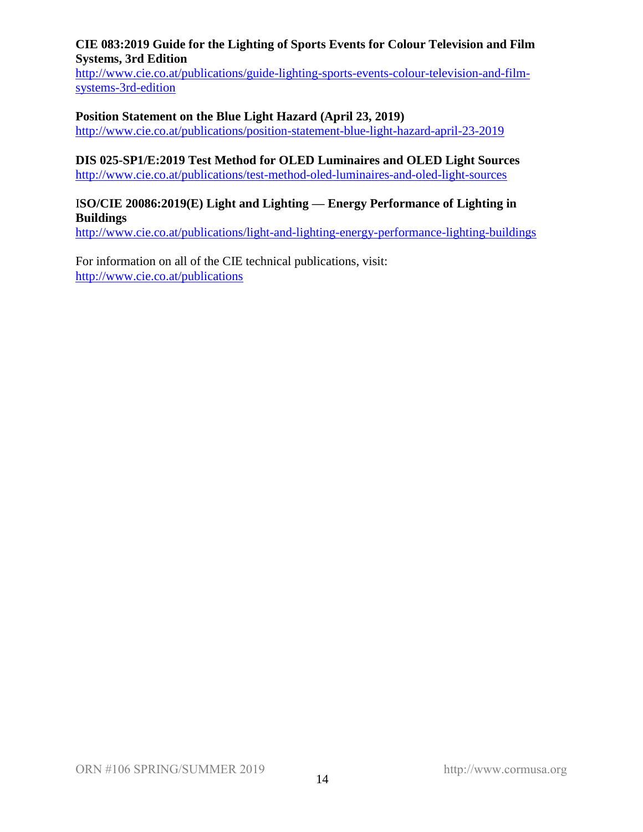## **CIE 083:2019 Guide for the Lighting of Sports Events for Colour Television and Film Systems, 3rd Edition**

[http://www.cie.co.at/publications/guide-lighting-sports-events-colour-television-and-film](http://www.cie.co.at/publications/guide-lighting-sports-events-colour-television-and-film-systems-3rd-edition)[systems-3rd-edition](http://www.cie.co.at/publications/guide-lighting-sports-events-colour-television-and-film-systems-3rd-edition)

## **Position Statement on the Blue Light Hazard (April 23, 2019)**

<http://www.cie.co.at/publications/position-statement-blue-light-hazard-april-23-2019>

## **DIS 025-SP1/E:2019 Test Method for OLED Luminaires and OLED Light Sources**

<http://www.cie.co.at/publications/test-method-oled-luminaires-and-oled-light-sources>

## I**SO/CIE 20086:2019(E) Light and Lighting — Energy Performance of Lighting in Buildings**

<http://www.cie.co.at/publications/light-and-lighting-energy-performance-lighting-buildings>

For information on all of the CIE technical publications, visit: <http://www.cie.co.at/publications>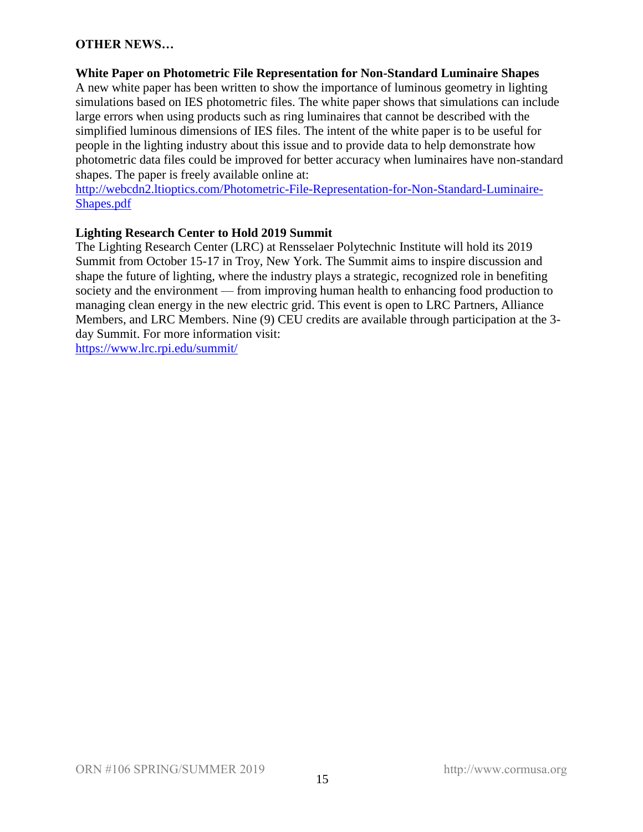## **OTHER NEWS…**

## **White Paper on Photometric File Representation for Non-Standard Luminaire Shapes**

A new white paper has been written to show the importance of luminous geometry in lighting simulations based on IES photometric files. The white paper shows that simulations can include large errors when using products such as ring luminaires that cannot be described with the simplified luminous dimensions of IES files. The intent of the white paper is to be useful for people in the lighting industry about this issue and to provide data to help demonstrate how photometric data files could be improved for better accuracy when luminaires have non-standard shapes. The paper is freely available online at:

[http://webcdn2.ltioptics.com/Photometric-File-Representation-for-Non-Standard-Luminaire-](http://webcdn2.ltioptics.com/Photometric-File-Representation-for-Non-Standard-Luminaire-Shapes.pdf)[Shapes.pdf](http://webcdn2.ltioptics.com/Photometric-File-Representation-for-Non-Standard-Luminaire-Shapes.pdf)

## **Lighting Research Center to Hold 2019 Summit**

The Lighting Research Center (LRC) at Rensselaer Polytechnic Institute will hold its 2019 Summit from October 15-17 in Troy, New York. The Summit aims to inspire discussion and shape the future of lighting, where the industry plays a strategic, recognized role in benefiting society and the environment — from improving human health to enhancing food production to managing clean energy in the new electric grid. This event is open to LRC Partners, Alliance Members, and LRC Members. Nine (9) CEU credits are available through participation at the 3 day Summit. For more information visit:

<https://www.lrc.rpi.edu/summit/>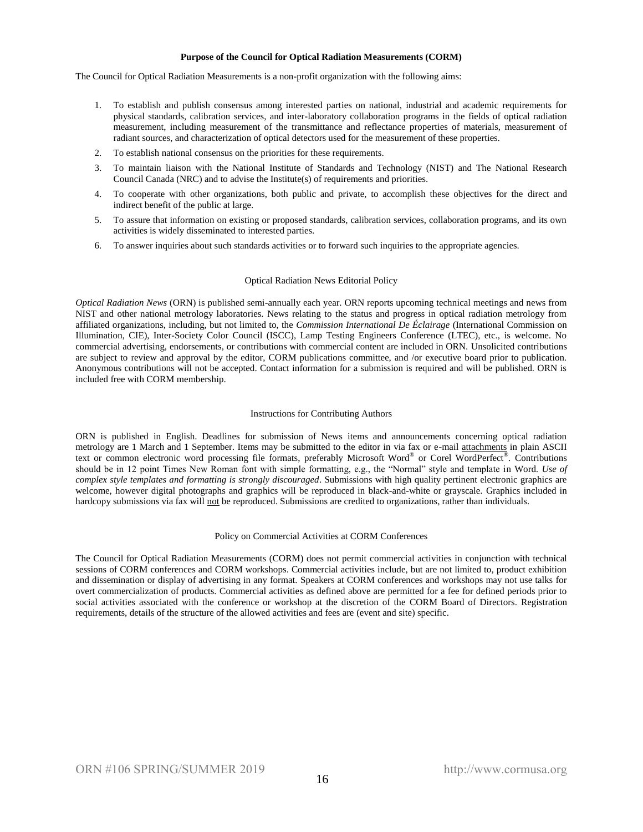#### **Purpose of the Council for Optical Radiation Measurements (CORM)**

The Council for Optical Radiation Measurements is a non-profit organization with the following aims:

- 1. To establish and publish consensus among interested parties on national, industrial and academic requirements for physical standards, calibration services, and inter-laboratory collaboration programs in the fields of optical radiation measurement, including measurement of the transmittance and reflectance properties of materials, measurement of radiant sources, and characterization of optical detectors used for the measurement of these properties.
- 2. To establish national consensus on the priorities for these requirements.
- 3. To maintain liaison with the National Institute of Standards and Technology (NIST) and The National Research Council Canada (NRC) and to advise the Institute(s) of requirements and priorities.
- 4. To cooperate with other organizations, both public and private, to accomplish these objectives for the direct and indirect benefit of the public at large.
- 5. To assure that information on existing or proposed standards, calibration services, collaboration programs, and its own activities is widely disseminated to interested parties.
- 6. To answer inquiries about such standards activities or to forward such inquiries to the appropriate agencies.

#### Optical Radiation News Editorial Policy

*Optical Radiation News* (ORN) is published semi-annually each year. ORN reports upcoming technical meetings and news from NIST and other national metrology laboratories. News relating to the status and progress in optical radiation metrology from affiliated organizations, including, but not limited to, the *Commission International De Éclairage* (International Commission on Illumination, CIE), Inter-Society Color Council (ISCC), Lamp Testing Engineers Conference (LTEC), etc., is welcome. No commercial advertising, endorsements, or contributions with commercial content are included in ORN. Unsolicited contributions are subject to review and approval by the editor, CORM publications committee, and /or executive board prior to publication. Anonymous contributions will not be accepted. Contact information for a submission is required and will be published. ORN is included free with CORM membership.

#### Instructions for Contributing Authors

ORN is published in English. Deadlines for submission of News items and announcements concerning optical radiation metrology are 1 March and 1 September. Items may be submitted to the editor in via fax or e-mail attachments in plain ASCII text or common electronic word processing file formats, preferably Microsoft Word® or Corel WordPerfect®. Contributions should be in 12 point Times New Roman font with simple formatting, e.g., the "Normal" style and template in Word. *Use of complex style templates and formatting is strongly discouraged*. Submissions with high quality pertinent electronic graphics are welcome, however digital photographs and graphics will be reproduced in black-and-white or grayscale. Graphics included in hardcopy submissions via fax will not be reproduced. Submissions are credited to organizations, rather than individuals.

#### Policy on Commercial Activities at CORM Conferences

The Council for Optical Radiation Measurements (CORM) does not permit commercial activities in conjunction with technical sessions of CORM conferences and CORM workshops. Commercial activities include, but are not limited to, product exhibition and dissemination or display of advertising in any format. Speakers at CORM conferences and workshops may not use talks for overt commercialization of products. Commercial activities as defined above are permitted for a fee for defined periods prior to social activities associated with the conference or workshop at the discretion of the CORM Board of Directors. Registration requirements, details of the structure of the allowed activities and fees are (event and site) specific.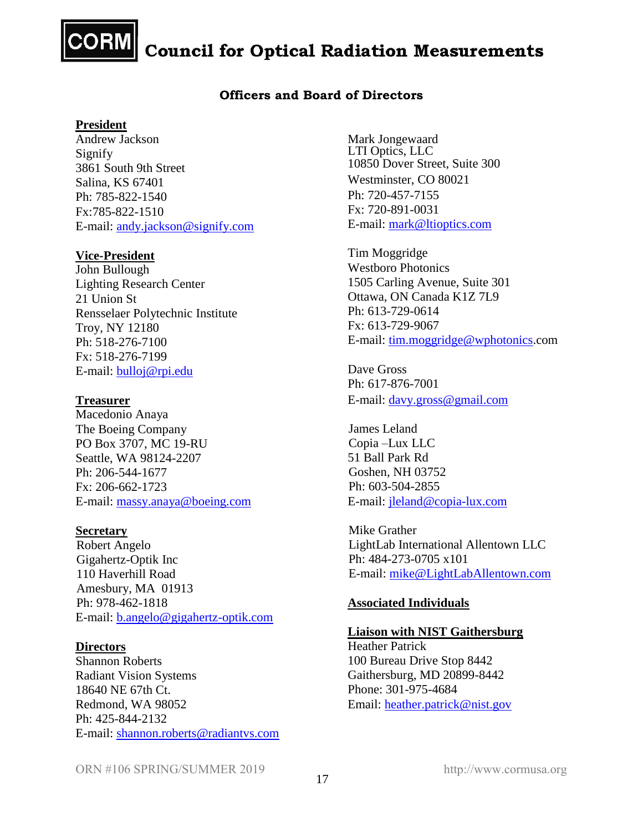

**Council for Optical Radiation Measurements** 

#### **Officers and Board of Directors**

#### **President**

Andrew Jackson Signify 3861 South 9th Street Salina, KS 67401 Ph: 785-822-1540 Fx:785-822-1510 E-mail: [andy.jackson@signify.com](mailto:andy.jackson@signify.com)

#### **Vice-President**

John Bullough Lighting Research Center 21 Union St Rensselaer Polytechnic Institute Troy, NY 12180 Ph: 518-276-7100 Fx: 518-276-7199 E-mail: [bulloj@rpi.edu](mailto:bulloj@rpi.edu)

#### **Treasurer**

Macedonio Anaya The Boeing Company PO Box 3707, MC 19-RU Seattle, WA 98124-2207 Ph: 206-544-1677 Fx: 206-662-1723 E-mail: [massy.anaya@boeing.com](mailto:massy.anaya@boeing.com)

#### **Secretary**

Robert Angelo Gigahertz-Optik Inc 110 Haverhill Road Amesbury, MA 01913 Ph: 978-462-1818 E-mail: [b.angelo@gigahertz-optik.com](mailto:b.angelo@gigahertz-optik.com)

#### **Directors**

Shannon Roberts Radiant Vision Systems 18640 NE 67th Ct. Redmond, WA 98052 Ph: 425-844-2132 E-mail: [shannon.roberts@radiantvs.com](mailto:shannon.roberts@radiantvs.com) Mark Jongewaard LTI Optics, LLC 10850 Dover Street, Suite 300 Westminster, CO 80021 Ph: 720-457-7155 Fx: 720-891-0031 E-mail: [mark@ltioptics.com](mailto:mark@ltioptics.com)

Tim Moggridge Westboro Photonics 1505 Carling Avenue, Suite 301 Ottawa, ON Canada K1Z 7L9 Ph: 613-729-0614 Fx: 613-729-9067 E-mail: [tim.moggridge@wphotonics.](mailto:tim.moggridge@wphotonics)com

Dave Gross Ph: 617-876-7001 E-mail: [davy.gross@gmail.com](mailto:davy.gross@gmail.com)

James Leland Copia –Lux LLC 51 Ball Park Rd Goshen, NH 03752 Ph: 603-504-2855 E-mail: [jleland@copia-lux.com](mailto:jleland@copia-lux.com)

Mike Grather LightLab International Allentown LLC Ph: 484-273-0705 x101 E-mail: [mike@LightLabAllentown.com](mailto:mike@LightLabAllentown.com)

#### **Associated Individuals**

#### **Liaison with NIST Gaithersburg**

Heather Patrick 100 Bureau Drive Stop 8442 Gaithersburg, MD 20899-8442 Phone: 301-975-4684 Email: [heather.patrick@nist.gov](mailto:heather.patrick@nist.gov)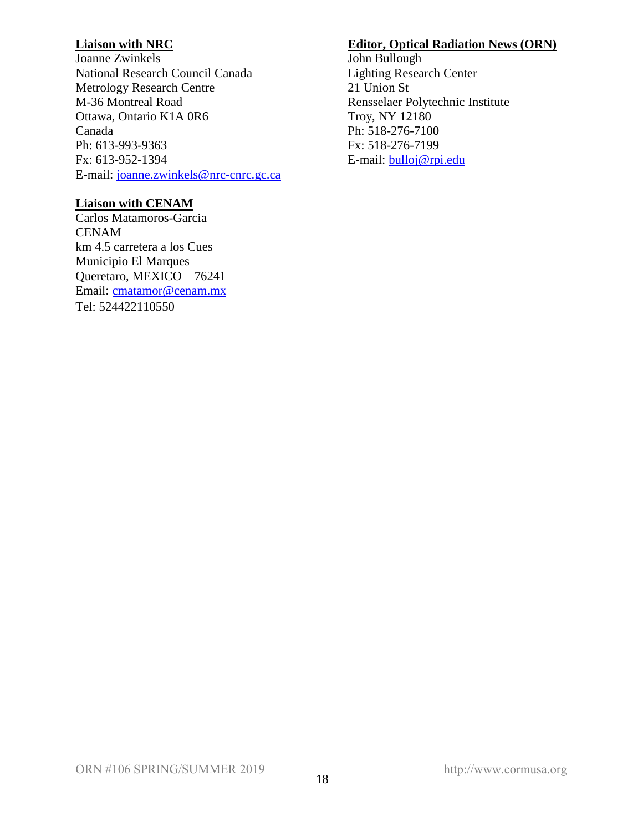## **Liaison with NRC**

Joanne Zwinkels National Research Council Canada Metrology Research Centre M-36 Montreal Road Ottawa, Ontario K1A 0R6 Canada Ph: 613-993-9363 Fx: 613-952-1394 E-mail: [joanne.zwinkels@nrc-cnrc.gc.ca](mailto:joanne.zwinkels@nrc-cnrc.gc.ca)

## **Liaison with CENAM**

Carlos Matamoros-Garcia CENAM km 4.5 carretera a los Cues Municipio El Marques Queretaro, MEXICO 76241 Email: [cmatamor@cenam.mx](mailto:cmatamor@cenam.mx) Tel: 524422110550

## **Editor, Optical Radiation News (ORN)**

John Bullough Lighting Research Center 21 Union St Rensselaer Polytechnic Institute Troy, NY 12180 Ph: 518-276-7100 Fx: 518-276-7199 E-mail: [bulloj@rpi.edu](mailto:bulloj@rpi.edu)